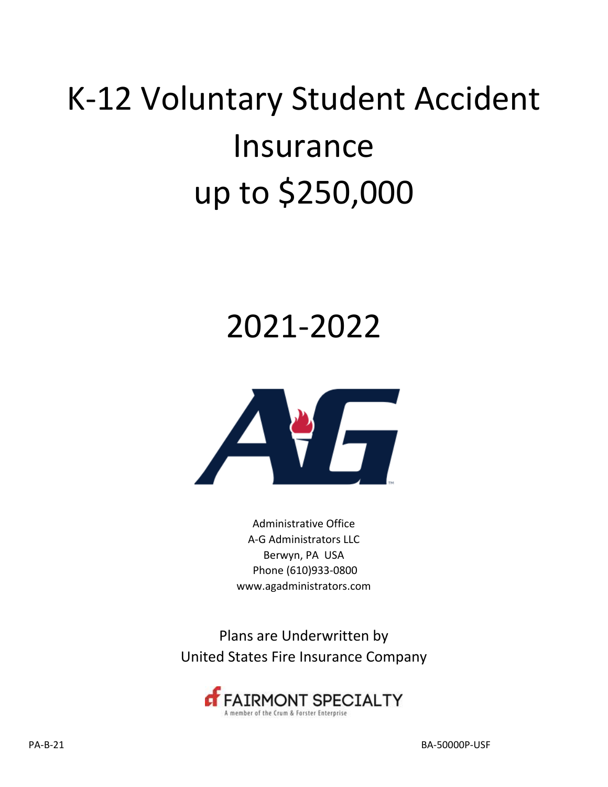# K‐12 Voluntary Student Accident Insurance up to \$250,000

## 2021-2022



Administrative Office A‐G Administrators LLC Berwyn, PA USA Phone (610)933‐0800 www.agadministrators.com

Plans are Underwritten by United States Fire Insurance Company

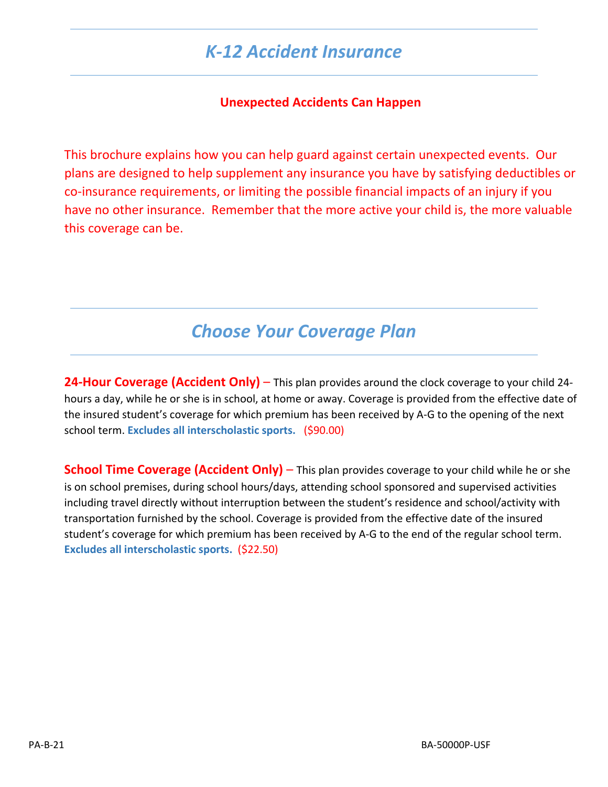### *K‐12 Accident Insurance*

#### **Unexpected Accidents Can Happen**

This brochure explains how you can help guard against certain unexpected events. Our plans are designed to help supplement any insurance you have by satisfying deductibles or co‐insurance requirements, or limiting the possible financial impacts of an injury if you have no other insurance. Remember that the more active your child is, the more valuable this coverage can be.

### *Choose Your Coverage Plan*

**24‐Hour Coverage (Accident Only)** – This plan provides around the clock coverage to your child 24‐ hours a day, while he or she is in school, at home or away. Coverage is provided from the effective date of the insured student's coverage for which premium has been received by A‐G to the opening of the next school term. **Excludes all interscholastic sports.** (\$90.00)

**School Time Coverage (Accident Only)** – This plan provides coverage to your child while he or she is on school premises, during school hours/days, attending school sponsored and supervised activities including travel directly without interruption between the student's residence and school/activity with transportation furnished by the school. Coverage is provided from the effective date of the insured student's coverage for which premium has been received by A‐G to the end of the regular school term. **Excludes all interscholastic sports.** (\$22.50)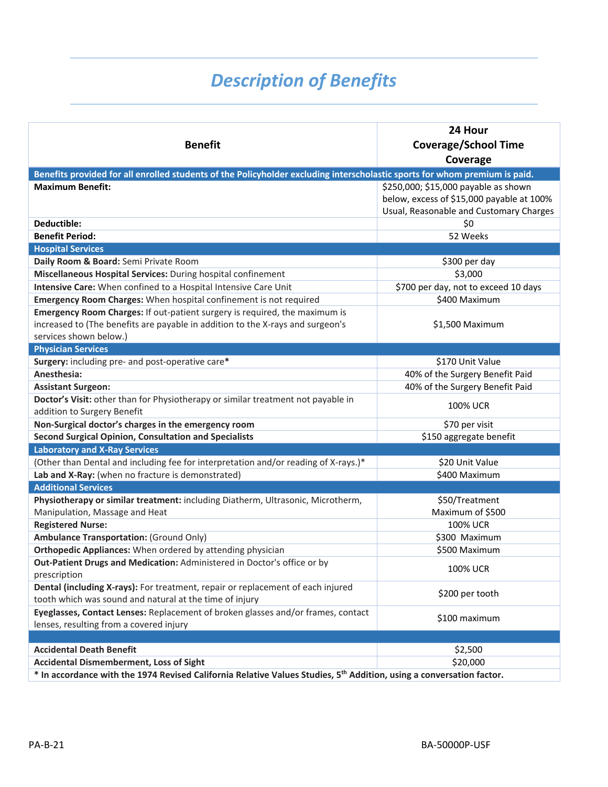### *Description of Benefits*

| <b>Benefit</b>                                                                                                                             | 24 Hour<br><b>Coverage/School Time</b>    |
|--------------------------------------------------------------------------------------------------------------------------------------------|-------------------------------------------|
|                                                                                                                                            | Coverage                                  |
| Benefits provided for all enrolled students of the Policyholder excluding interscholastic sports for whom premium is paid.                 |                                           |
| <b>Maximum Benefit:</b>                                                                                                                    | \$250,000; \$15,000 payable as shown      |
|                                                                                                                                            | below, excess of \$15,000 payable at 100% |
|                                                                                                                                            | Usual, Reasonable and Customary Charges   |
| Deductible:                                                                                                                                | \$0                                       |
| <b>Benefit Period:</b>                                                                                                                     | 52 Weeks                                  |
| <b>Hospital Services</b>                                                                                                                   |                                           |
| Daily Room & Board: Semi Private Room                                                                                                      | \$300 per day                             |
| Miscellaneous Hospital Services: During hospital confinement                                                                               | \$3,000                                   |
| Intensive Care: When confined to a Hospital Intensive Care Unit                                                                            | \$700 per day, not to exceed 10 days      |
| Emergency Room Charges: When hospital confinement is not required                                                                          | \$400 Maximum                             |
| Emergency Room Charges: If out-patient surgery is required, the maximum is                                                                 |                                           |
| increased to (The benefits are payable in addition to the X-rays and surgeon's                                                             | \$1,500 Maximum                           |
| services shown below.)                                                                                                                     |                                           |
| <b>Physician Services</b>                                                                                                                  |                                           |
| Surgery: including pre- and post-operative care*                                                                                           | \$170 Unit Value                          |
| Anesthesia:                                                                                                                                | 40% of the Surgery Benefit Paid           |
| <b>Assistant Surgeon:</b>                                                                                                                  | 40% of the Surgery Benefit Paid           |
| Doctor's Visit: other than for Physiotherapy or similar treatment not payable in                                                           | <b>100% UCR</b>                           |
| addition to Surgery Benefit                                                                                                                |                                           |
| Non-Surgical doctor's charges in the emergency room<br><b>Second Surgical Opinion, Consultation and Specialists</b>                        | \$70 per visit<br>\$150 aggregate benefit |
| <b>Laboratory and X-Ray Services</b>                                                                                                       |                                           |
| (Other than Dental and including fee for interpretation and/or reading of X-rays.)*                                                        | \$20 Unit Value                           |
| Lab and X-Ray: (when no fracture is demonstrated)                                                                                          | \$400 Maximum                             |
| <b>Additional Services</b>                                                                                                                 |                                           |
| Physiotherapy or similar treatment: including Diatherm, Ultrasonic, Microtherm,                                                            | \$50/Treatment                            |
| Manipulation, Massage and Heat                                                                                                             | Maximum of \$500                          |
| <b>Registered Nurse:</b>                                                                                                                   | <b>100% UCR</b>                           |
| <b>Ambulance Transportation: (Ground Only)</b>                                                                                             | \$300 Maximum                             |
| Orthopedic Appliances: When ordered by attending physician                                                                                 | \$500 Maximum                             |
| Out-Patient Drugs and Medication: Administered in Doctor's office or by                                                                    | <b>100% UCR</b>                           |
| prescription                                                                                                                               |                                           |
| Dental (including X-rays): For treatment, repair or replacement of each injured<br>tooth which was sound and natural at the time of injury | \$200 per tooth                           |
| Eyeglasses, Contact Lenses: Replacement of broken glasses and/or frames, contact                                                           |                                           |
| lenses, resulting from a covered injury                                                                                                    | \$100 maximum                             |
|                                                                                                                                            |                                           |
| <b>Accidental Death Benefit</b>                                                                                                            | \$2,500                                   |
| <b>Accidental Dismemberment, Loss of Sight</b>                                                                                             | \$20,000                                  |
| * In accordance with the 1974 Revised California Relative Values Studies, 5 <sup>th</sup> Addition, using a conversation factor.           |                                           |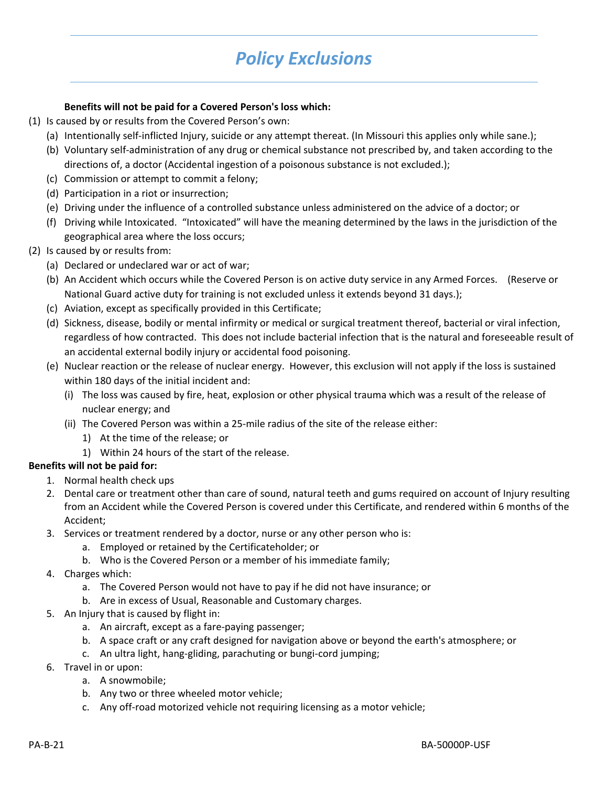### *Policy Exclusions*

#### **Benefits will not be paid for a Covered Person's loss which:**

- (1) Is caused by or results from the Covered Person's own:
	- (a) Intentionally self‐inflicted Injury, suicide or any attempt thereat. (In Missouri this applies only while sane.);
	- (b) Voluntary self‐administration of any drug or chemical substance not prescribed by, and taken according to the directions of, a doctor (Accidental ingestion of a poisonous substance is not excluded.);
	- (c) Commission or attempt to commit a felony;
	- (d) Participation in a riot or insurrection;
	- (e) Driving under the influence of a controlled substance unless administered on the advice of a doctor; or
	- (f) Driving while Intoxicated. "Intoxicated" will have the meaning determined by the laws in the jurisdiction of the geographical area where the loss occurs;
- (2) Is caused by or results from:
	- (a) Declared or undeclared war or act of war;
	- (b) An Accident which occurs while the Covered Person is on active duty service in any Armed Forces. (Reserve or National Guard active duty for training is not excluded unless it extends beyond 31 days.);
	- (c) Aviation, except as specifically provided in this Certificate;
	- (d) Sickness, disease, bodily or mental infirmity or medical or surgical treatment thereof, bacterial or viral infection, regardless of how contracted. This does not include bacterial infection that is the natural and foreseeable result of an accidental external bodily injury or accidental food poisoning.
	- (e) Nuclear reaction or the release of nuclear energy. However, this exclusion will not apply if the loss is sustained within 180 days of the initial incident and:
		- (i) The loss was caused by fire, heat, explosion or other physical trauma which was a result of the release of nuclear energy; and
		- (ii) The Covered Person was within a 25‐mile radius of the site of the release either:
			- 1) At the time of the release; or
			- 1) Within 24 hours of the start of the release.

#### **Benefits will not be paid for:**

- 1. Normal health check ups
- 2. Dental care or treatment other than care of sound, natural teeth and gums required on account of Injury resulting from an Accident while the Covered Person is covered under this Certificate, and rendered within 6 months of the Accident;
- 3. Services or treatment rendered by a doctor, nurse or any other person who is:
	- a. Employed or retained by the Certificateholder; or
	- b. Who is the Covered Person or a member of his immediate family;
- 4. Charges which:
	- a. The Covered Person would not have to pay if he did not have insurance; or
	- b. Are in excess of Usual, Reasonable and Customary charges.
- 5. An Injury that is caused by flight in:
	- a. An aircraft, except as a fare‐paying passenger;
	- b. A space craft or any craft designed for navigation above or beyond the earth's atmosphere; or
	- c. An ultra light, hang‐gliding, parachuting or bungi‐cord jumping;
- 6. Travel in or upon:
	- a. A snowmobile;
	- b. Any two or three wheeled motor vehicle;
	- c. Any off‐road motorized vehicle not requiring licensing as a motor vehicle;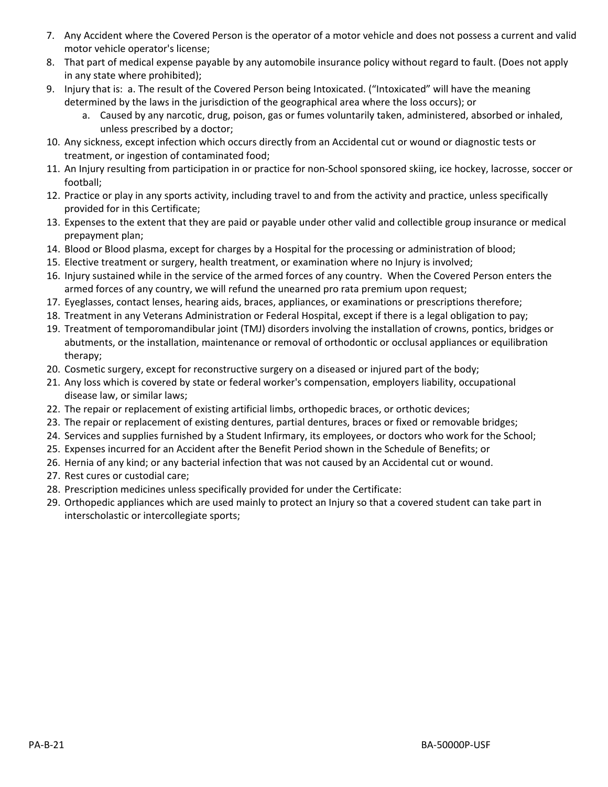- 7. Any Accident where the Covered Person is the operator of a motor vehicle and does not possess a current and valid motor vehicle operator's license;
- 8. That part of medical expense payable by any automobile insurance policy without regard to fault. (Does not apply in any state where prohibited);
- 9. Injury that is: a. The result of the Covered Person being Intoxicated. ("Intoxicated" will have the meaning determined by the laws in the jurisdiction of the geographical area where the loss occurs); or
	- a. Caused by any narcotic, drug, poison, gas or fumes voluntarily taken, administered, absorbed or inhaled, unless prescribed by a doctor;
- 10. Any sickness, except infection which occurs directly from an Accidental cut or wound or diagnostic tests or treatment, or ingestion of contaminated food;
- 11. An Injury resulting from participation in or practice for non‐School sponsored skiing, ice hockey, lacrosse, soccer or football;
- 12. Practice or play in any sports activity, including travel to and from the activity and practice, unless specifically provided for in this Certificate;
- 13. Expenses to the extent that they are paid or payable under other valid and collectible group insurance or medical prepayment plan;
- 14. Blood or Blood plasma, except for charges by a Hospital for the processing or administration of blood;
- 15. Elective treatment or surgery, health treatment, or examination where no Injury is involved;
- 16. Injury sustained while in the service of the armed forces of any country. When the Covered Person enters the armed forces of any country, we will refund the unearned pro rata premium upon request;
- 17. Eyeglasses, contact lenses, hearing aids, braces, appliances, or examinations or prescriptions therefore;
- 18. Treatment in any Veterans Administration or Federal Hospital, except if there is a legal obligation to pay;
- 19. Treatment of temporomandibular joint (TMJ) disorders involving the installation of crowns, pontics, bridges or abutments, or the installation, maintenance or removal of orthodontic or occlusal appliances or equilibration therapy;
- 20. Cosmetic surgery, except for reconstructive surgery on a diseased or injured part of the body;
- 21. Any loss which is covered by state or federal worker's compensation, employers liability, occupational disease law, or similar laws;
- 22. The repair or replacement of existing artificial limbs, orthopedic braces, or orthotic devices;
- 23. The repair or replacement of existing dentures, partial dentures, braces or fixed or removable bridges;
- 24. Services and supplies furnished by a Student Infirmary, its employees, or doctors who work for the School;
- 25. Expenses incurred for an Accident after the Benefit Period shown in the Schedule of Benefits; or
- 26. Hernia of any kind; or any bacterial infection that was not caused by an Accidental cut or wound.
- 27. Rest cures or custodial care;
- 28. Prescription medicines unless specifically provided for under the Certificate:
- 29. Orthopedic appliances which are used mainly to protect an Injury so that a covered student can take part in interscholastic or intercollegiate sports;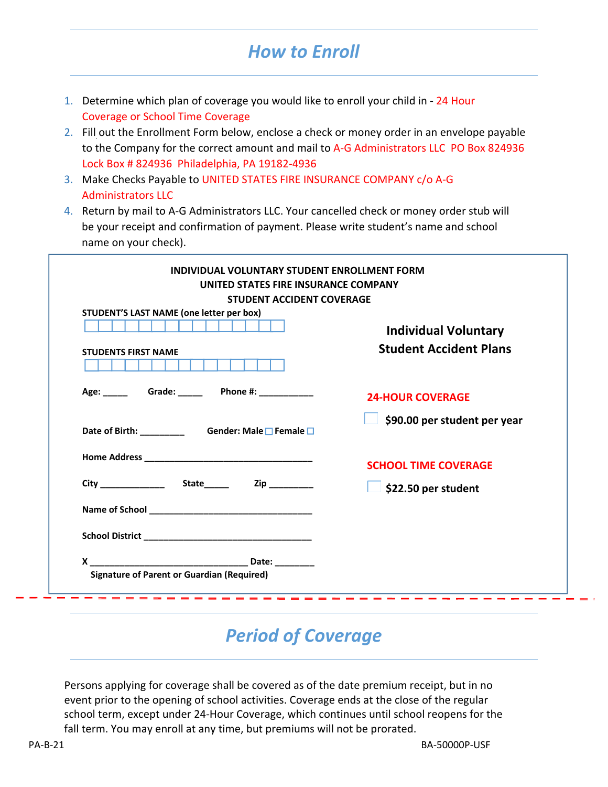### *How to Enroll*

- 1. Determine which plan of coverage you would like to enroll your child in ‐ 24 Hour Coverage or School Time Coverage
- 2. Fill out the Enrollment Form below, enclose a check or money order in an envelope payable to the Company for the correct amount and mail to A-G Administrators LLC PO Box 824936 Lock Box # 824936 Philadelphia, PA 19182-4936
- 3. Make Checks Payable to UNITED STATES FIRE INSURANCE COMPANY c/o A‐G Administrators LLC
- 4. Return by mail to A-G Administrators LLC. Your cancelled check or money order stub will be your receipt and confirmation of payment. Please write student's name and school name on your check).

| STUDENT'S LAST NAME (one letter per box) |                               |
|------------------------------------------|-------------------------------|
|                                          | <b>Individual Voluntary</b>   |
| <b>STUDENTS FIRST NAME</b>               | <b>Student Accident Plans</b> |
|                                          | <b>24-HOUR COVERAGE</b>       |
|                                          | \$90.00 per student per year  |
|                                          | <b>SCHOOL TIME COVERAGE</b>   |
|                                          | \$22.50 per student           |
|                                          |                               |
|                                          |                               |

### *Period of Coverage*

Persons applying for coverage shall be covered as of the date premium receipt, but in no event prior to the opening of school activities. Coverage ends at the close of the regular school term, except under 24‐Hour Coverage, which continues until school reopens for the fall term. You may enroll at any time, but premiums will not be prorated.